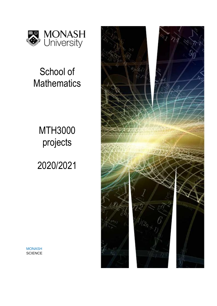

# School of **Mathematics**

# MTH3000 projects

2020/2021



**MONASH SCIENCE**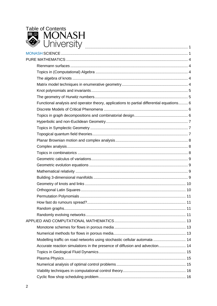

| Functional analysis and operator theory, applications to partial differential equations 6 |  |
|-------------------------------------------------------------------------------------------|--|
|                                                                                           |  |
|                                                                                           |  |
|                                                                                           |  |
|                                                                                           |  |
|                                                                                           |  |
|                                                                                           |  |
|                                                                                           |  |
|                                                                                           |  |
|                                                                                           |  |
|                                                                                           |  |
|                                                                                           |  |
|                                                                                           |  |
|                                                                                           |  |
|                                                                                           |  |
|                                                                                           |  |
|                                                                                           |  |
|                                                                                           |  |
|                                                                                           |  |
|                                                                                           |  |
|                                                                                           |  |
|                                                                                           |  |
| Modelling traffic on road networks using stochastic cellular automata  14                 |  |
| Accurate reaction simulations in the presence of diffusion and advection 14               |  |
|                                                                                           |  |
|                                                                                           |  |
|                                                                                           |  |
|                                                                                           |  |
|                                                                                           |  |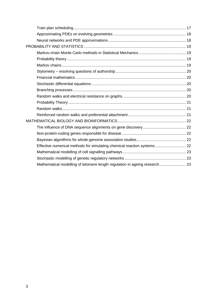| Effective numerical methods for simulating chemical reaction systems  22   |  |
|----------------------------------------------------------------------------|--|
|                                                                            |  |
|                                                                            |  |
| Mathematical modelling of telomere length regulation in ageing research 23 |  |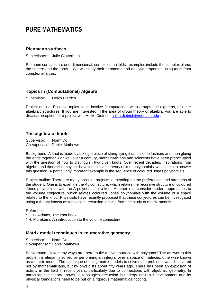# **PURE MATHEMATICS**

## **Rienmann surfaces**

Supervisors: Julie Clutterbuck

Riemann surfaces are one-dimensional, complex manifolds: examples include the complex plane, the sphere and the torus. We will study their geometric and analytic properties using tools from complex analysis.

# **Topics in (Computational) Algebra**

Supervisor: Heiko Dietrich

Project outline: Possible topics could involve (computations with) groups, Lie algebras, or other algebraic structures. If you are interested in the area of group theory or algebra, you are able to discuss an option for a project with Heiko Dietrich: [heiko.dietrich@monash.edu](mailto:textit%7bheiko.dietrich@monash.edu) .

#### **The algebra of knots**

Supervisor: Norm Do Co-supervisor: Daniel Mathews

Background: A knot is made by taking a piece of string, tying it up in some fashion, and then gluing the ends together. For well over a century, mathematicians and scientists have been preoccupied with the question of how to distinguish two given knots. Over recent decades, inspirations from algebra and theoretical physics have led to a vast theory of knot polynomials, which help to answer this question. A particularly important example is the sequence of coloured Jones polynomials.

Project outline: There are many possible projects, depending on the preferences and strengths of the student. One is to examine the AJ conjecture, which relates the recursive structure of coloured Jones polynomials with the A-polynomial of a knot. Another is to consider modern approaches to the volume conjecture, which relates coloured Jones polynomials with the volume of a space related to the knot. Physicists have recently proposed that these conjectures can be investigated using a theory known as topological recursion, arising from the study of matrix models.

References:

\* C. C. Adams, The knot book

\* H. Murakami, An introduction to the volume conjecture

#### **Matrix model techniques in enumerative geometry**

Supervisor: Norm Do Co-supervisor: Daniel Mathews

Background: How many ways are there to tile a given surface with polygons? The answer to this problem is elegantly solved by performing an integral over a space of matrices, otherwise known as a matrix model. The technique of using matrix models to solve such problems was discovered not by mathematicians, but by physicists about fifty years ago. There has been an explosion of activity in the field in recent years, particularly due to connections with algebraic geometry. In particular, the theory known as topological recursion is undergoing rapid development and its physical foundations need to be put on a rigorous mathematical footing.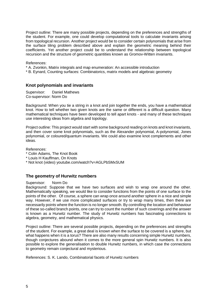Project outline: There are many possible projects, depending on the preferences and strengths of the student. For example, one could develop computational tools to calculate invariants arising from topological recursion. Another project would be to consider certain polynomials that arise from the surface tiling problem described above and explain the geometric meaning behind their coefficients. Yet another project could be to understand the relationship between topological recursion and the structure of geometric quantities known as Gromov-Witten invariants.

References:

\* A. Zvonkin, Matrix integrals and map enumeration: An accessible introduction

\* B. Eynard, Counting surfaces: Combinatorics, matrix models and algebraic geometry

#### **Knot polynomials and invariants**

Supervisor: Daniel Mathews Co-supervisor: Norm Do

Background: When you tie a string in a knot and join together the ends, you have a mathematical knot. How to tell whether two given knots are the same or different is a difficult question. Many mathematical techniques have been developed to tell apart knots - and many of these techniques use interesting ideas from algebra and topology.

Project outline: This project would start with some background reading on knots and knot invariants, and then cover some knot polynomials, such as the Alexander polynomial, A-polynomial, Jones polynomial, or coloured/quantum invariants. We could also examine knot complements and other ideas.

References:

- \* Colin Adams, The Knot Book
- \* Louis H Kauffman, On Knots
- \* Not knot (video) youtube.com/watch?v=AGLPbSMxSUM

#### **The geometry of Hurwitz numbers**

#### Supervisor: Norm Do

Background: Suppose that we have two surfaces and wish to wrap one around the other. Mathematically speaking, we would like to consider functions from the points of one surface to the points of the other. Of course, a sphere can wrap once around another sphere in a nice and simple way. However, if we use more complicated surfaces or try to wrap many times, then there are necessarily points where the function is no longer smooth. By controlling the location and behaviour of these so-called branch points, one can try to count the number of such coverings and the answer is known as a Hurwitz number. The study of Hurwitz numbers has fascinating connections to algebra, geometry, and mathematical physics.

Project outline: There are several possible projects, depending on the preferences and strengths of the student. For example, a great deal is known when the surface to be covered is a sphere, but what happens when it is a torus? There are also many results concerning simple Hurwitz numbers, though conjectures abound when it comes to the more general spin Hurwitz numbers. It is also possible to explore the generalisation to double Hurwitz numbers, in which case the connections to geometry remain conjectural and mysterious.

References: S. K. Lando, Combinatorial facets of Hurwitz numbers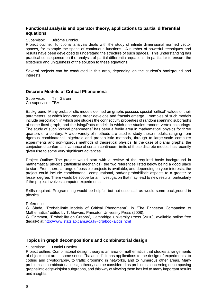# **Functional analysis and operator theory, applications to partial differential equations**

#### Supervisor: Jérôme Droniou

Project outline: functional analysis deals with the study of infinite dimensional normed vector spaces, for example the space of continuous functions. A number of powerful techniques and results have been developed to understand the structure of such spaces. This understanding has practical consequence on the analysis of partial differential equations, in particular to ensure the existence and uniqueness of the solution to these equations.

Several projects can be conducted in this area, depending on the student's background and interests.

#### **Discrete Models of Critical Phenomena**

Supervisor: Tim Garoni Co-supervisor: TBA

Background: Many probabilistic models defined on graphs possess special "critical" values of their parameters, at which long-range order develops and fractals emerge. Examples of such models include percolation, in which one studies the connectivity properties of random spanning subgraphs of some fixed graph, and the Ising/Potts models in which one studies random vertex colourings. The study of such "critical phenomena" has been a fertile area in mathematical physics for three quarters of a century. A wide variety of methods are used to study these models, ranging from rigorous combinatorial, algebraic and probabilistic methods, through to large-scale computer experiments and non-rigorous methods of theoretical physics. In the case of planar graphs, the conjectured conformal invariance of certain continuum limits of these discrete models has recently given rise to some very significant advances.

Project Outline: The project would start with a review of the required basic background in mathematical physics (statistical mechanics); the two references listed below being a good place to start. From there, a range of possible projects is available, and depending on your interests, the project could include combinatorial, computational, and/or probabilistic aspects to a greater or lesser degree. There would be scope for an investigation that may lead to new results, particularly if the project involves computer experiments.

Skills required: Programming would be helpful, but not essential, as would some background in physics.

References:

G. Slade, "Probabilistic Models of Critical Phenomena", in "The Princeton Companion to Mathematics" edited by T. Gowers, Princeton University Press (2008).

G. Grimmett, "Probability on Graphs", Cambridge University Press (2010), available online free (legally) at <http://www.statslab.cam.ac.uk/~grg/books/pgs.html>

#### **Topics in graph decompositions and combinatorial design**

#### Supervisor: Daniel Horsley

Project outline: Combinatorial design theory is an area of mathematics that studies arrangements of objects that are in some sense ``balanced''. It has applications to the design of experiments, to coding and cryptography, to traffic grooming in networks, and to numerous other areas. Many problems in combinatorial design theory can be considered as problems concerning decomposing graphs into edge-disjoint subgraphs, and this way of viewing them has led to many important results and insights.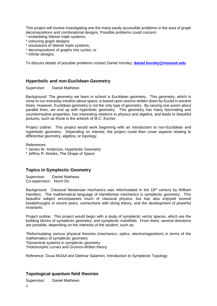This project will involve investigating one the many easily accessible problems in the area of graph decompositions and combinatorial designs. Possible problems could concern:

- \* embedding Steiner triple systems;
- \* colouring graph designs;
- \* resolutions of Steiner triple systems;
- \* decompositions of graphs into cycles; or
- \* infinite designs.

To discuss details of possible problems contact Daniel Horsley: **[daniel.horsley@monash.edu](mailto:daniel.horsley@monash.edu)**

#### **Hyperbolic and non-Euclidean Geometry**

Supervisor: Daniel Mathews

Background: The geometry we learn in school is Euclidean geometry. This geometry, which is close to our everyday intuition about space, is based upon axioms written down by Euclid in ancient times. However, Euclidean geometry is not the only type of geometry. By varying one axiom about parallel lines, we end up with hyperbolic geometry. This geometry has many fascinating and counterintuitive properties, has interesting relations to physics and algebra, and leads to beautiful pictures, such as those in the artwork of M.C. Escher.

Project outline: This project would work beginning with an introduction to non-Euclidean and hyperbolic geometry. Depending on interest, the project could then cover aspects relating to differential geometry, algebra, or topology.

References:

- \* James W. Anderson, Hyperbolic Geometry
- \* Jeffrey R. Weeks, The Shape of Space

# **Topics in Symplectic Geometry**

Supervisor: Daniel Mathews Co-supervisor: Norm Do

Background: Classical Newtonian mechanics was reformulated in the 19<sup>th</sup> century by William Hamilton. The mathematical language of Hamiltonian mechanics is symplectic geometry. This beautiful subject encompasses much of classical physics, but has also enjoyed several breakthroughs in recent years, connections with string theory, and the development of powerful invariants.

Project outline: This project would begin with a study of symplectic vector spaces, which are the building blocks of symplectic geometry, and symplectic manifolds. From there, several directions are possible, depending on the interests of the student, such as:

\*Reformulating various physical theories (mechanics, optics, electromagnetism) in terms of the mathematics of symplectic geometry

\*Dynamical systems in symplectic geometry

\*Holomorphic curves and Gromov-Witten theory

Reference: Dusa McDuf and Dietmar Salamon, Introduction to Symplectic Topology

# **Topological quantum field theories**

Supervisor: Daniel Mathews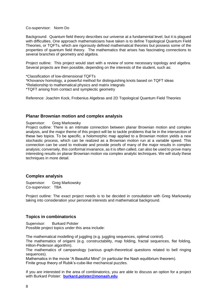#### Co-supervisor: Norm Do

Background: Quantum field theory describes our universe at a fundamental level, but it is plagued with difficulties. One approach mathematicians have taken is to define Topological Quantum Field Theories, or TQFTs, which are rigorously defined mathematical theories but possess some of the properties of quantum field theory. The mathematics that arises has fascinating connections to several branches of geometry and algebra.

Project outline: This project would start with a review of some necessary topology and algebra. Several projects are then possible, depending on the interests of the student, such as:

\*Classification of low-dimensional TQFTs

\*Khovanov homology, a powerful method for distinguishing knots based on TQFT ideas

\*Relationship to mathematical physics and matrix integrals

\*TQFT arising from contact and symplectic geometry

Reference: Joachim Kock, Frobenius Algebras and 2D Topological Quantum Field Theories

#### **Planar Brownian motion and complex analysis**

Supervisor: Greg Markowsky

Project outline: There is an intimate connection between planar Brownian motion and complex analysis, and the major theme of this project will be to tackle problems that lie in the intersection of these two topics. To be specific, a holomorphic map applied to a Brownian motion yields a new stochastic process, which can be realized as a Brownian motion run at a variable speed. This connection can be used to motivate and provide proofs of many of the major results in complex analysis; conversely, this conformal invariance, as it is often called, can also be used to prove many interesting results on planar Brownian motion via complex analytic techniques. We will study these techniques in more detail.

#### **Complex analysis**

Supervisor: Greg Markowsky Co-supervisor: TBA

Project outline: The exact project needs is to be decided in consultation with Greg Markowsky taking into consideration your personal interests and mathematical background.

#### **Topics in combinatorics**

Supervisor: Burkard Polster Possible project topics under this area include:

The mathematical modelling of juggling (e.g. juggling sequences, optimal control).

The mathematics of origami (e.g. constructability, map folding, fractal sequences, flat folding, Hilton-Pederson algorithm).

The mathematics of campanology (various graph-theoretical questions related to bell ringing sequences).

Mathematics in the movie "A Beautiful Mind" (in particular the Nash equilibrium theorem). Finite group theory of Rubik's-cube-like mechanical puzzles.

If you are interested in the area of combinatorics, you are able to discuss an option for a project with Burkard Polster: **[burkard.polster@monash.edu](mailto:burkard.polster@monash.edu)**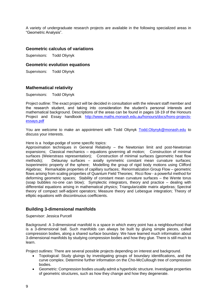A variety of undergraduate research projects are available in the following specialized areas in "Geometric Analysis".

#### **Geometric calculus of variations**

Supervisors: Todd Oliynyk

#### **Geometric evolution equations**

Supervisors: Todd Oliynyk

## **Mathematical relativity**

Supervisors: Todd Oliynyk

Project outline: The exact project will be decided in consultation with the relevant staff member and the research student, and taking into consideration the student's personal interests and mathematical background. Descriptions of the areas can be found in pages 18-19 of the Honours Project and Essay handbook [http://www.maths.monash.edu.au/honours/docs/hons-projects](http://www.maths.monash.edu.au/honours/docs/hons-projects-essays.pdf)[essays.pdf](http://www.maths.monash.edu.au/honours/docs/hons-projects-essays.pdf)

You are welcome to make an appointment with Todd Oliynyk [Todd.Oliynyk@monash.edu](mailto:Todd.Oliynyk@monash.edu) to discuss your interests.

#### Here is a hodge-podge of some specific topics:

Approximation techniques in General Relativity – the Newtonian limit and post-Newtonian expansions; Classical mechanics – equations governing all motion; Construction of minimal surfaces (Weierstrass representation); Construction of minimal surfaces (geometric heat flow methods); Delaunay surfaces – axially symmetric constant mean curvature surfaces; Isoperimetric property of the sphere; Modelling the group of rigid body motions using Clifford Algebras; Remarkable properties of capillary surfaces; Renormalization Group Flow – geometric flows arising from scaling properties of Quantum Field Theories; Ricci flow - a powerful method for deforming geometric spaces; Stability of constant mean curvature surfaces – the Wente torus (soap bubbles no-one can blow); Symplectic integrators, theory and practice – dealing with differential equations arising in mathematical physics; Triangularizable matrix algebras; Spectral theory of compact self-adjoint operators; Measure theory and Lebesgue integration; Theory of elliptic equations with discontinuous coefficients.

#### **Building 3-dimensional manifolds**

Supervisor: Jessica Purcell

Background: A 3-dimensional manifold is a space in which every point has a neighbourhood that is a 3-dimensional ball. Such manifolds can always be built by gluing simple pieces, called compression bodies, along a shared surface boundary. We have learned much information about 3-dimensional manifolds by studying compression bodies and how they glue. There is still much to learn.

Project outlines: There are several possible projects depending on interest and background.

- Topological: Study gluings by investigating groups of boundary identifications, and the curve complex. Determine further information on the Cho-McCullough tree of compression bodies.
- Geometric: Compression bodies usually admit a hyperbolic structure. Investigate properties of geometric structures, such as how they change and how they degenerate.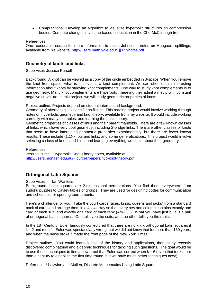Computational: Develop an algorithm to visualize hyperbolic structures on compression bodies. Compute changes in volume based on location in the Cho-McCullough tree.

References:

One reasonable source for more information is Jesse Johnson's notes on Heegaard splittings, available from his website:<http://users.math.yale.edu/~jj327/notes.pdf>

#### **Geometry of knots and links**

Supervisor: Jessica Purcell

Background: A knot can be viewed as a copy of the circle embedded in 3-space. When you remove the knot from space, what is left over is a knot complement. We can often obtain interesting information about knots by studying knot complements. One way to study knot complements is to use geometry. Many knot complements are hyperbolic, meaning they admit a metric with constant negative curvature. In this project, we will study geometric properties of knots.

Project outline: Projects depend on student interest and background.

Geometry of alternating links and Dehn fillings. This reading project would involve working through notes on hyperbolic geometry and knot theory, available from my website. It would include working carefully with many examples, and learning the basic theory.

Geometric properties of classes of links and their parent manifolds. There are a few known classes of links, which have very cool geometry, including 2-bridge links. There are other classes of knots that seem to have interesting geometric properties experimentally, but there are fewer known results. These include (1,1)-knots and links, and some generalizations. This project would involve selecting a class of knots and links, and learning everything we could about their geometry.

References: Jessica Purcell, Hyperbolic Knot Theory notes, available at: <http://users.monash.edu.au/~jpurcell/papers/hyp-knot-theory.pdf>

# **Orthogonal Latin Squares**

#### Supervisor: Ian Wanless

Background: Latin squares are 2-dimensional permutations. You find them everywhere from sudoku puzzles to Cayley tables of groups. They are used for designing codes for communication and schedules for sporting tournaments.

Here's a challenge for you. Take the court cards (aces, kings, queens and jacks) from a standard pack of cards and arrange them in a 4 x 4 array so that every row and column contains exactly one card of each suit, and exactly one card of each rank (A/K/Q/J). What you have just built is a pair of orthogonal Latin squares. One tells you the suits, and the other tells you the ranks.

In the 18<sup>th</sup> Century, Euler famously conjectured that there are no k x k orthogonal Latin squares if  $k = 2$  and mod 4. Euler was spectacularly wrong, but we did not know that for more than 150 years, and when the news broke it made the front page of the New York Times!

Project outline: You could learn a little of the history and applications, then study recently discovered combinatorial and algebraic techniques for tackling such questions. The goal would be to use these techniques to find a new proof that Euler was correct when  $k = 6$  (even that took more than a century to establish the first time round, but we have much better techniques now!).

Reference: \* Laywine and Mullen, Discrete Mathematics Using Latin Squares.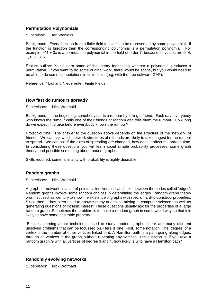# **Permutation Polynomials**

Supervisor: Ian Wanless

Background: Every function from a finite field to itself can be represented by some polynomial. If the function is bijection then the corresponding polynomial is a permutation polynomial. For example,  $x^4 + 3x$  is a permutation polynomial in the field of order 7, because its values are 0, 4, 1, 6, 2, 3, 5.

Project outline: You'd learn some of the theory for testing whether a polynomial produces a permutation. If you want to do some original work, there would be scope, but you would need to be able to do some computations in finite fields (e.g. with the free software GAP).

Reference: \* Lidl and Niederreiter, Finite Fields.

#### **How fast do rumours spread?**

Supervisors: Nick Wormald

Background: In the beginning, somebody starts a rumour by telling a friend. Each day, everybody who knows the rumour calls one of their friends at random and tells them the rumour. How long do we expect it to take before everybody knows the rumour?

Project outline: The answer to the question above depends on the structure of the 'network' of friends. We can ask which network structures of n friends are likely to take longest for the rumour to spread. We can ask if the rules of spreading are changed, how does it affect the spread time. In considering these questions you will learn about simple probability processes, some graph theory, and possible something about random graphs.

Skills required: some familiarity with probability is highly desirable.

#### **Random graphs**

Supervisors: Nick Wormald

A graph, or network, is a set of points called 'vertices' and links between the nodes called 'edges'. Random graphs involve some random choices in determining the edges. Random graph theory was first used last century to show the existence of graphs with special hard-to-construct properties. Since then, it has been used to answer many questions arising in computer science, as well as generating questions of intrinsic interest. These questions usually ask for the properties of a large random graph. Sometimes the problem is to make a random graph in some weird way so that it is likely to have some desirable property.

Besides learning about techniques used to study random graphs, there are many different unsolved problems that can be focussed on. Here is one. First, some notation. The 'degree' of a vertex is the number of other vertices linked to it. A Hamilton path is a path going along edges, through all vertices in the graph, without repeating any vertices. The question is, if you take a random graph G with all vertices of degree 3 and 4, how likely is G to have a Hamilton path?

#### **Randomly evolving networks**

Supervisors: Nick Wormald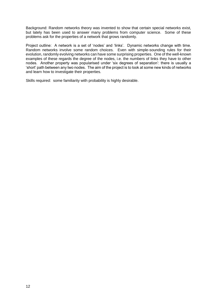Background: Random networks theory was invented to show that certain special networks exist, but lately has been used to answer many problems from computer science. Some of these problems ask for the properties of a network that grows randomly.

Project outline: A network is a set of 'nodes' and 'links'. Dynamic networks change with time. Random networks involve some random choices. Even with simple-sounding rules for their evolution, randomly evolving networks can have some surprising properties. One of the well-known examples of these regards the degree of the nodes, i.e. the numbers of links they have to other nodes. Another property was popularised under 'six degrees of separation': there is usually a 'short' path between any two nodes. The aim of the project is to look at some new kinds of networks and learn how to investigate their properties.

Skills required: some familiarity with probability is highly desirable.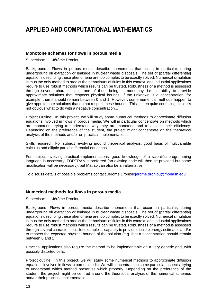# **APPLIED AND COMPUTATIONAL MATHEMATICS**

## **Monotone schemes for flows in porous media**

Supervisor: Jérôme Droniou

Background: Flows in porous media describe phenomena that occur, in particular, during underground oil extraction or leakage in nuclear waste disposals. The set of (partial differential) equations describing these phenomena are too complex to be exactly solved. Numerical simulation is thus the only method to predict the behaviours of fluids in this context, and industrial applications require to use robust methods which results can be trusted. Robustness of a method is assessed through several characteristics, one of them being its monotony, i.e. its ability to provide approximate solutions that respects physical bounds. If the unknown is a concentration, for example, then it should remain between 0 and 1. However, some numerical methods happen to give approximate solutions that do not respect these bounds. This is then quite confusing since it's not obvious what to do with a negative concentration...

Project Outline: In this project, we will study some numerical methods to approximate diffusion equations involved in flows in porous media. We will in particular concentrate on methods which are monotone, trying to understand why they are monotone and to assess their efficiency. Depending on the preference of the student, the project might concentrate on the theoretical analysis of the methods and/or on practical implementations.

Skills required: For subject revolving around theoretical analysis, good basis of multivariable calculus and elliptic partial differential equations.

For subject involving practical implementations, good knowledge of a scientific programming language is necessary. FORTRAN is preferred (an existing code will then be provided but some modification will be necessary), but Matlab can also be an alternative.

To discuss details of possible problems contact Jerome Droniou[:jerome.droniou@monash.edu](mailto:jerome.droniou@monash.edu)

#### **Numerical methods for flows in porous media**

Supervisor: Jérôme Droniou

Background: Flows in porous media describe phenomena that occur, in particular, during underground oil extraction or leakage in nuclear waste disposals. The set of (partial differential) equations describing these phenomena are too complex to be exactly solved. Numerical simulation is thus the only method to predict the behaviours of fluids in this context, and industrial applications require to use robust methods which results can be trusted. Robustness of a method is assessed through several characteristics, for example its capacity to provide discrete energy estimates and/or to respect the expected physical bounds of the solution (e.g. that a concentration should remain between 0 and 1).

Practical applications also require the method to be implementable on a very generic grid, with possibly distorted cells.

Project outline: In this project, we will study some numerical methods to approximate diffusion equations involved in flows in porous media. We will concentrate on some particular aspects, trying to understand which method preserves which property. Depending on the preference of the student, the project might be centred around the theoretical analysis of the numerical schemes and/or their practical implementations.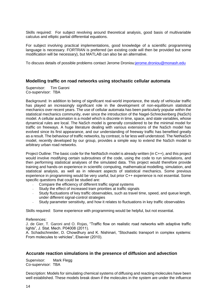Skills required: For subject revolving around theoretical analysis, good basis of multivariable calculus and elliptic partial differential equations.

For subject involving practical implementations, good knowledge of a scientific programming language is necessary. FORTRAN is preferred (an existing code will then be provided but some modification will be necessary), but MATLAB can also be an alternative.

To discuss details of possible problems contact Jerome Droniou[:jerome.droniou@monash.edu](mailto:jerome.droniou@monash.edu)

#### **Modelling traffic on road networks using stochastic cellular automata**

Supervisor: Tim Garoni Co-supervisor: TBA

Background: In addition to being of significant real-world importance, the study of vehicular traffic has played an increasingly significant role in the development of non-equilibrium statistical mechanics over recent years. The use of cellular automata has been particularly popular within the statistical mechanics community, ever since the introduction of the Nagel-Schreckenberg (NaSch) model. A cellular automaton is a model which is discrete in time, space, and state variables, whose dynamical rules are local. The NaSch model is generally considered to be the minimal model for traffic on freeways. A huge literature dealing with various extensions of the NaSch model has evolved since its first appearance, and our understanding of freeway traffic has benefited greatly as a result. The behaviour of traffic networks, by contrast, is far less well understood. The NetNaSch model, recently developed by our group, provides a simple way to extend the NaSch model to arbitrary urban road networks.

Project Outline: The basic code for the NetNaSch model is already written (in C++), and this project would involve modifying certain subroutines of the code, using the code to run simulations, and then performing statistical analyses of the simulated data. This project would therefore provide training and hands-on experience in scientific computing, mathematical modelling, simulation, and statistical analysis, as well as in relevant aspects of statistical mechanics. Some previous experience in programming would be very useful, but prior C++ experience is not essential. Some specific questions that could be studied are:

- Compare the efficiency of different traffic signal systems
- Study the effect of increased tram priorities at traffic signals
- Study fluctuations of key traffic observables, such as travel time, speed, and queue length, under different signal-control strategies
- Study parameter sensitivity, and how it relates to fluctuations in key traffic observables

Skills required: Some experience with programming would be helpful, but not essential.

#### References:

J. de Gier, T. Garoni and O. Rojas, "Traffic flow on realistic road networks with adaptive traffic lights", J. Stat. Mech. P04008 (2011).

A. Schadschneider, D. Chowdhury and K. Nishinari, "Stochastic transport in complex systems: From molecules to vehicles", Elsevier (2010).

#### **Accurate reaction simulations in the presence of diffusion and advection**

Supervisor: Mark Flegg Co-supervisor: TBA

Description: Models for simulating chemical systems of diffusing and reacting molecules have been well established. These models break down if the molecules in the system are under the influence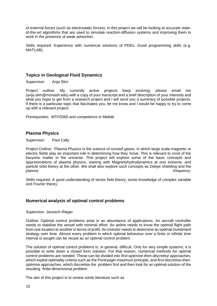of external forces (such as electrostatic forces). In this project we will be looking at accurate stateof-the-art algorithms that are used to simulate reaction-diffusion systems and improving them to work in the presence of weak advection.

Skills required: Experience with numerical solutions of PDEs. Good programming skills (e.g. MATLAB).

# **Topics in Geological Fluid Dynamics**

Supervisor: Anja Slim

Project outline: My currently active projects keep evolving; please email me (anja.slim@monash.edu) with a copy of your transcript and a brief description of your interests and what you hope to get from a research project and I will send you a summary of possible projects. If there is a particular topic that fascinates you, let me know and I would be happy to try to come up with a relevant project.

Prerequisites: MTH3360 and competence in Matlab

#### **Plasma Physics**

Supervisor: Paul Cally

Project Outline: Plasma Physics is the science of ionized gases, in which large scale magnetic or electric fields play an important role in determining how they move. This is relevant to most of the baryonic matter in the universe. This project will explore some of the basic concepts and approximations of plasma physics, starting with Magnetohydrodynamics at one extreme, and particle orbit theory at the other. We shall also explore such concepts as Debye shielding and the plasma frequency.

Skills required: A good understanding of vector field theory; some knowledge of complex variable and Fourier theory.

#### **Numerical analysis of optimal control problems**

Supervisor: Janosch Rieger

Outline: Optimal control problems arise in an abundance of applications. An aircraft controller needs to stabilise the vessel with minimal effort. An airline needs to know the optimal flight path from one location to another in terms of profit. An investor needs to determine an optimal investment strategy over time. Almost every problem in which optimal behaviour over a finite or infinite time interval is sought can be recast as an optimal control problem.

The solution of optimal control problems is, in general, difficult. Only for very simple systems, it is possible to write down a closed form solution. For that reason, numerical methods for optimal control problems are needed. These can be divided into *first-optimise-then-discretise* approaches, which exploit optimality criteria such as the Pontryagin maximum principle, and *first-discretise-thenoptimise* approaches, which discretise the problem first and then look for an optimal solution of the resulting finite-dimensional problem.

The aim of this project is to review some literature such as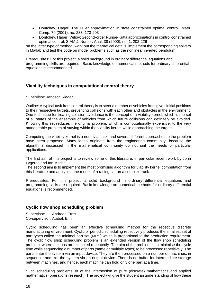- Dontchev, Hager; The Euler approximation in state constrained optimal control; Math. Comp. 70 (2001), no. 233, 173-203
- Dontchev, Hager, Veliov; Second-order Runge-Kutta approximations in control constrained optimal control; SIAM J. Numer. Anal. 38 (2000), no. 1, 202-226

on the latter type of method, work out the theoretical details, implement the corresponding solvers in Matlab and test the code on model problems such as the nonlinear inverted pendulum.

Prerequisites: For this project, a solid background in ordinary differential equations and programming skills are required. Basic knowledge on numerical methods for ordinary differential equations is recommended.

# **Viability techniques in computational control theory**

Supervisor: Janosch Rieger

Outline: A typical task from control theory is to steer a number of vehicles from given initial positions to their respective targets, preventing collisions with each other and obstacles in the environment. One technique for treating collision avoidance is the concept of a viability kernel, which is the set of all states of the ensemble of vehicles from which future collisions can definitely be avoided. Knowing this set reduces the original problem, which is computationally expensive, to the very manageable problem of staying within the viability kernel while approaching the targets.

Computing the viability kernel is a nontrivial task, and several different approaches to the problem have been proposed. Many ideas originate from the engineering community, because the algorithms discussed in the mathematical community do not suit the needs of particular applications.

The first aim of this project is to review some of this literature, in particular recent work by John Lygeros and Ian Mitchell.

The second aim is to implement the most promising algorithm for viability kernel computation from this literature and apply it to the model of a racing car on a complex track.

Prerequisites: For this project, a solid background in ordinary differential equations and programming skills are required. Basic knowledge on numerical methods for ordinary differential equations is recommended.

# **Cyclic flow shop scheduling problem**

Supervisor: Andreas Ernst Co-supervisor: Atabak Elmi

Cyclic scheduling has been an effective scheduling method for the repetitive discrete manufacturing environment. Cyclic or periodic scheduling repetitively produces the smallest set of part types called the minimal part set (MPS) which is proportional to the production requirement. The cyclic flow shop scheduling problem is an extended version of the flow shop scheduling problem, where the jobs are executed repeatedly. The aim of the problem is to minimise the cycle time while sequencing a number of parts (same or multiple types) to be processed repetitively. The parts enter the system via an input device. They are then processed on a number of machines, in sequence, and exit the system via an output device. There is no buffer for intermediate storage between machines, and hence, each machine can hold only one part at a time.

Such scheduling problems sit at the intersection of pure (discrete) mathematics and applied mathematics (operations research). The project will give the student an understanding of how these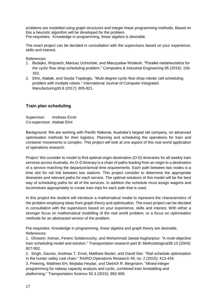problems are modelled using graph structures and integer linear programming methods. Based on this a heuristic algorithm will be developed for the problem. Pre-requisites: Knowledge in programming, linear algebra is desirable.

The exact project can be decided in consultation with the supervisors based on your experience, skills and interest.

References:

- 1. Bożejko, Wojciech, Mariusz Uchroński, and Mieczysław Wodecki. "Parallel metaheuristics for the cyclic flow shop scheduling problem." Computers & Industrial Engineering 95 (2016): 156- 163.
- 2. Elmi, Atabak, and Seyda Topaloglu. "Multi-degree cyclic flow shop robotic cell scheduling problem with multiple robots." International Journal of Computer Integrated Manufacturing30.8 (2017): 805-821.

# **Train plan scheduling**

Supervisor: Andreas Ernst Co-supervisor: Atabak Elmi

Background: We are working with Pacific National, Australia's largest rail company, on advanced optimisation methods for their logistics. Planning and scheduling the operations for train and container movements is complex. This project will look at one aspect of this real world application of operations research.

Project: We consider to model to find optimal origin-destination (O-D) itineraries for all weekly train services across Australia. An O-D itinerary is a chain of paths leading from an origin to a destination of a service matching the departure/arrival time requirements. Each path between two nodes is a time slot for rail link between two stations. This project consider to determine the appropriate itineraries and relevant paths for each service. The optimal solutions of this model will be the best way of scheduling paths for all of the services. In addition the schedule must assign wagons and locomotives appropriately to create train trips for each path that is used.

In this project the student will introduce a mathematical model to represent the characteristics of the problem employing ideas from graph theory and optimisation. The exact project can be decided in consultation with the supervisors based on your experience, skills and interest. With either a stronger focus on mathematical modelling of the real world problem, or a focus on optimisation methods for an abstracted version of the problem.

Pre-requisites: Knowledge in programming, linear algebra and graph theory are desirable. References:

1. Ghoseiri, Keivan, Ferenc Szidarovszky, and Mohammad Jawad Asgharpour. "A multi-objective train scheduling model and solution." Transportation research part B: Methodological38.10 (2004): 927-952.

2. Singh, Gaurav, Andreas T. Ernst, Matthew Baxter, and David Sier. "Rail schedule optimisation in the hunter valley coal chain." RAIRO-Operations Research 49, no. 2 (2015): 413-434.

3. Petering, Matthew EH, Mojtaba Heydar, and Dietrich R. Bergmann. "Mixed-integer programming for railway capacity analysis and cyclic, combined train timetabling and platforming." Transportation Science 50.3 (2015): 892-909.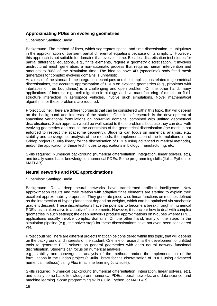# **Approximating PDEs on evolving geometries**

Supervisor: Santiago Badia

Background: The method of lines, which segregates spatial and time discretisation, is ubiquitous in the approximation of transient partial differential equations because of its simplicity. However, this approach is not suitable for domains that evolve in time. Besides, discretisation techniques for partial differential equations, e.g., finite elements, require a geometry discretisation. It involves unstructured mesh generation, a non-automatic process that requires human intervention and amounts to 80% of the simulation time. The idea to have 4D (spacetime) body-fitted mesh generators for complex evolving domains is unrealistic.

As a result of the standard time integration techniques and the complications related to geometrical discretisations, the accurate approximation of PDEs on evolving geometries (e.g., problems with interfaces or free boundaries) is a challenging and open problem. On the other hand, many applications of interest, e.g., cell migration in biology, additive manufacturing of metals, or fluidstructure interaction in aerospace vehicles, involve such simulations. Novel mathematical algorithms for these problems are required.

Project Outline: There are different projects that can be considered within this topic, that will depend on the background and interests of the student. One line of research is the development of spacetime variational formulations on non-trivial domains, combined with unfitted geometrical discretisations. Such approach would be well-suited to these problems because they can deal with evolving geometries and reduce the constraints of the geometrical discretisation (the mesh is not enforced to respect the spacetime geometry). Students can focus on numerical analysis, e.g., stability and convergence analysis of the methods, the implementation of the formulations in the Gridap project (a Julia library for the discretisation of PDEs using advanced numerical methods), and/or the application of these techniques to applications in biology, manufacturing, etc.

Skills required: Numerical background (numerical differentiation, integration, linear solvers, etc), and ideally some basic knowledge on numerical PDEs. Some programming skills (Julia, Python, or MATLAB).

#### **Neural networks and PDE approximations**

Supervisor: Santiago Badia

Background: ReLU deep neural networks have transformed artificial intelligence. New approximation results and their relation with adaptive finite elements are starting to explain their excellent approximability properties. They generate piece-wise linear functions on meshes defined as the intersection of hyper-planes that depend on weights, which can be optimised via stochastic gradient descent. These discretisations have the potential to become a breakthrough in numerical PDEs, as an alternative to adaptive finite elements. However, it is unclear how to deal with complex geometries in such settings; the deep networks produce approximations on n-cubes whereas PDE applications usually involve complex domains. On the other hand, many of the steps in the simulation pipeline (e.g., the solver step) for these discretisations have not even been considered yet.

Project outline: There are different projects that can be considered within this topic, that will depend on the background and interests of the student. One line of research is the development of unfitted tools to generate PDE solvers on general geometries with deep neural network functional discretisation. Students can focus on numerical analysis,

e.g., stability and convergence analysis of the methods and/or the implementation of the formulations in the Gridap project (a Julia library for the discretisation of PDEs using advanced numerical methods) using Flux (machine learning Julia suite).

Skills required: Numerical background (numerical differentiation, integration, linear solvers, etc), and ideally some basic knowledge onn numerical PDEs, neural networks, and data science, and machine learning. Some programming skills (Julia, Python, or MATLAB).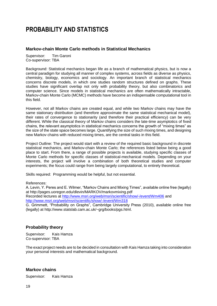# **PROBABILITY AND STATISTICS**

# **Markov-chain Monte Carlo methods in Statistical Mechanics**

Supervisor: Tim Garoni Co-supervisor: TBA

Background: Statistical mechanics began life as a branch of mathematical physics, but is now a central paradigm for studying all manner of complex systems, across fields as diverse as physics, chemistry, biology, economics and sociology. An important branch of statistical mechanics concerns discrete models, in which one studies random structures defined on graphs. These studies have significant overlap not only with probability theory, but also combinatorics and computer science. Since models in statistical mechanics are often mathematically intractable, Markov-chain Monte Carlo (MCMC) methods have become an indispensable computational tool in this field.

However, not all Markov chains are created equal, and while two Markov chains may have the same stationary distribution (and therefore approximate the same statistical mechanical model), their rates of convergence to stationarity (and therefore their practical efficiency) can be very different. While the classical theory of Markov chains considers the late-time asymptotics of fixed chains, the relevant asymptotics in statistical mechanics concerns the growth of "mixing times" as the size of the state space becomes large. Quantifying the size of such mixing times, and designing new Markov chains with reduced mixing times, are the central tasks in this field.

Project Outline: The project would start with a review of the required basic background in discrete statistical mechanics, and Markov-chain Monte Carlo; the references listed below being a good place to start. From there, a range of possible projects is available, studying specific classes of Monte Carlo methods for specific classes of statistical-mechanical models. Depending on your interests, the project will involve a combination of both theoretical studies and computer experiments; the focus could range from being largely computational, to entirely theoretical.

Skills required: Programming would be helpful, but not essential.

References:

A. Levin, Y. Peres and E. Wilmer, "Markov Chains and Mixing Times", available online free (legally) at http://pages.uoregon.edu/dlevin/MARKOV/markovmixing.pdf Recorded lectures at<http://www.msri.org/web/msri/scientific/show/-/event/Wm406> and <http://www.msri.org/web/msri/scientific/show/-/event/Wm318> G. Grimmett, "Probability on Graphs", Cambridge University Press (2010), available online free (legally) at http://www.statslab.cam.ac.uk/~grg/books/pgs.html.

# **Probability theory**

Supervisor: Kais Hamza Co-supervisor: TBA

The exact project needs are to be decided in consultation with Kais Hamza taking into consideration your personal interests and mathematical background.

#### **Markov chains**

Supervisor: Kais Hamza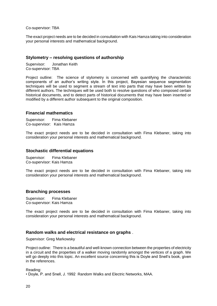Co-supervisor: TBA

The exact project needs are to be decided in consultation with Kais Hamza taking into consideration your personal interests and mathematical background.

#### **Stylometry – resolving questions of authorship**

Supervisor: Jonathan Keith Co-supervisor: TBA

Project outline: The science of stylometry is concerned with quantifying the characteristic components of an author's writing style. In this project, Bayesian sequence segmentation techniques will be used to segment a stream of text into parts that may have been written by different authors. The techniques will be used both to resolve questions of who composed certain historical documents, and to detect parts of historical documents that may have been inserted or modified by a different author subsequent to the original composition.

#### **Financial mathematics**

Supervisor: Fima Klebaner Co-supervisor: Kais Hamza

The exact project needs are to be decided in consultation with Fima Klebaner, taking into consideration your personal interests and mathematical background.

#### **Stochastic differential equations**

Supervisor: Fima Klebaner Co-supervisor: Kais Hamza

The exact project needs are to be decided in consultation with Fima Klebaner, taking into consideration your personal interests and mathematical background.

#### **Branching processes**

Supervisor: Fima Klebaner Co-supervisor: Kais Hamza

The exact project needs are to be decided in consultation with Fima Klebaner, taking into consideration your personal interests and mathematical background.

#### **Random walks and electrical resistance on graphs** .

Supervisor: Greg Markowsky

Project outline: There is a beautiful and well-known connection between the properties of electricity in a circuit and the properties of a walker moving randomly amongst the vertices of a graph. We will go deeply into this topic. An excellent source concerning this is Doyle and Snell's book, given in the references.

Reading:

• Doyle, P. and Snell, J. 1992 Random Walks and Electric Networks, MAA.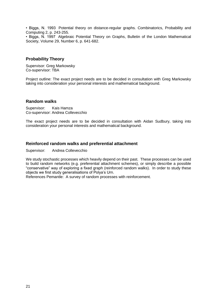• Biggs, N. 1993 Potential theory on distance-regular graphs. Combinatorics, Probability and Computing 2, p. 243-255.

• Biggs, N. 1997 Algebraic Potential Theory on Graphs, Bulletin of the London Mathematical Society, Volume 29, Number 6, p. 641-682.

## **Probability Theory**

Supervisor: Greg Markowsky Co-supervisor: TBA

Project outline: The exact project needs are to be decided in consultation with Greg Markowsky taking into consideration your personal interests and mathematical background.

#### **Random walks**

Supervisor: Kais Hamza Co-supervisor: Andrea Collevecchio

The exact project needs are to be decided in consultation with Aidan Sudbury, taking into consideration your personal interests and mathematical background.

#### **Reinforced random walks and preferential attachment**

Supervisor: Andrea Collevecchio

We study stochastic processes which heavily depend on their past. These processes can be used to build random networks (e.g. preferential attachment schemes), or simply describe a possible "conservative" way of exploring a fixed graph (reinforced random walks). In order to study these objects we first study generalisations of Polya's Urn.

References Pemantle: A survey of random processes with reinforcement.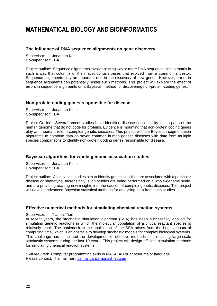# **MATHEMATICAL BIOLOGY AND BIOINFORMATICS**

# **The influence of DNA sequence alignments on gene discovery**

Supervisor: Jonathan Keith Co-supervisor: TBA

Project outline: Sequence alignments involve placing two or more DNA sequences into a matrix in such a way that columns of the matrix contain bases that evolved from a common ancestor. Sequence alignments play an important role in the discovery of new genes. However, errors in sequence alignments can potentially hinder such methods. This project will explore the effect of errors in sequence alignments on a Bayesian method for discovering non-protein-coding genes.

#### **Non-protein-coding genes responsible for disease**

Supervisor: Jonathan Keith Co-supervisor: TBA

Project Outline: Several recent studies have identified disease susceptibility loci in parts of the human genome that do not code for proteins. Evidence is mounting that non-protein coding genes play an important role in complex genetic diseases. This project will use Bayesian segmentation algorithms to combine data on seven common human genetic diseases with data from multiple species comparisons to identify non-protein-coding genes responsible for disease.

#### **Bayesian algorithms for whole-genome association studies**

Supervisor: Jonathan Keith Co-supervisor: TBA

Project outline: Association studies aim to identify genetic loci that are associated with a particular disease or phenotype. Increasingly, such studies are being performed on a whole-genome scale, and are providing exciting new insights into the causes of complex genetic diseases. This project will develop advanced Bayesian statistical methods for analysing data from such studies.

#### **Effective numerical methods for simulating chemical reaction systems**

Supervisor: Tianhai Tian

In recent years, the stochastic simulation algorithm (SSA) has been successfully applied for simulating genetic reactions in which the molecular population of a critical reactant species is relatively small. The bottleneck in the application of the SSA arises from the huge amount of computing time, which is an obstacle to develop stochastic models for complex biological systems. This challenge has stimulated the development of effective methods for simulating large-scale stochastic systems during the last 10 years. This project will design efficient simulation methods for simulating chemical reaction systems.

Skill required: Computer programming skills in MATALAB or another major language. Please contact: Tianhai Tian, [tianhai.tian@monash.edu.au](mailto:tianhai.tian@monash.edu.au)